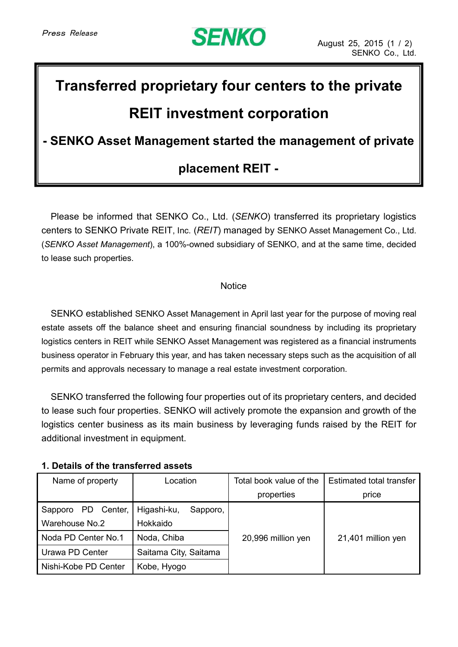

# **Transferred proprietary four centers to the private**

## **REIT investment corporation**

### **- SENKO Asset Management started the management of private**

### **placement REIT -**

Please be informed that SENKO Co., Ltd. (*SENKO*) transferred its proprietary logistics centers to SENKO Private REIT, Inc. (*REIT*) managed by SENKO Asset Management Co., Ltd. (*SENKO Asset Management*), a 100%-owned subsidiary of SENKO, and at the same time, decided to lease such properties.

#### **Notice**

SENKO established SENKO Asset Management in April last year for the purpose of moving real estate assets off the balance sheet and ensuring financial soundness by including its proprietary logistics centers in REIT while SENKO Asset Management was registered as a financial instruments business operator in February this year, and has taken necessary steps such as the acquisition of all permits and approvals necessary to manage a real estate investment corporation.

SENKO transferred the following four properties out of its proprietary centers, and decided to lease such four properties. SENKO will actively promote the expansion and growth of the logistics center business as its main business by leveraging funds raised by the REIT for additional investment in equipment.

#### **1. Details of the transferred assets**

| Name of property      | Location                | Total book value of the | <b>Estimated total transfer</b> |
|-----------------------|-------------------------|-------------------------|---------------------------------|
|                       |                         | properties              | price                           |
| PD Center,<br>Sapporo | Higashi-ku,<br>Sapporo, |                         |                                 |
| Warehouse No.2        | Hokkaido                |                         |                                 |
| Noda PD Center No.1   | Noda, Chiba             | 20,996 million yen      | 21,401 million yen              |
| Urawa PD Center       | Saitama City, Saitama   |                         |                                 |
| Nishi-Kobe PD Center  | Kobe, Hyogo             |                         |                                 |